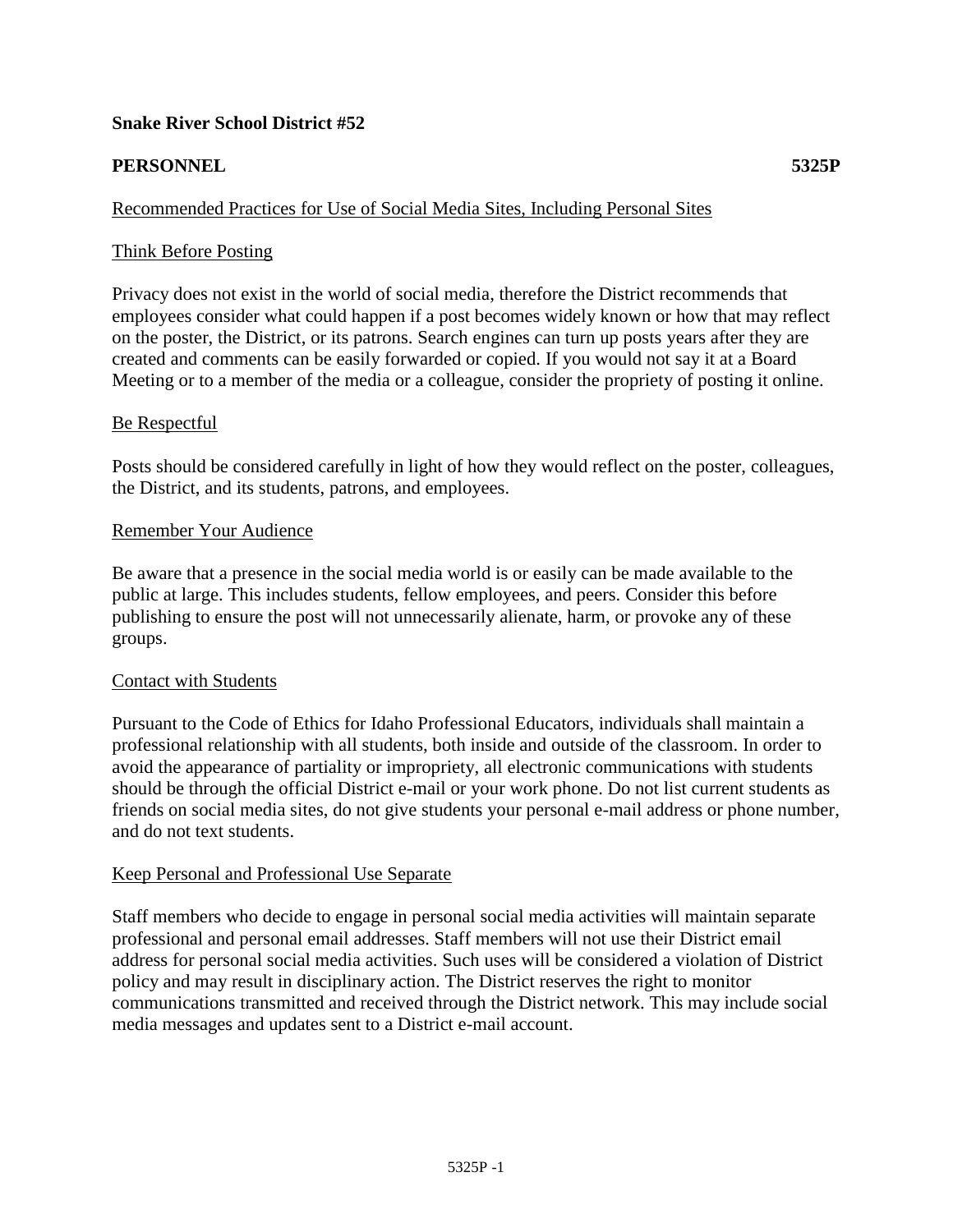# **Snake River School District #52**

# **PERSONNEL 5325P**

## Recommended Practices for Use of Social Media Sites, Including Personal Sites

## Think Before Posting

Privacy does not exist in the world of social media, therefore the District recommends that employees consider what could happen if a post becomes widely known or how that may reflect on the poster, the District, or its patrons. Search engines can turn up posts years after they are created and comments can be easily forwarded or copied. If you would not say it at a Board Meeting or to a member of the media or a colleague, consider the propriety of posting it online.

### Be Respectful

Posts should be considered carefully in light of how they would reflect on the poster, colleagues, the District, and its students, patrons, and employees.

### Remember Your Audience

Be aware that a presence in the social media world is or easily can be made available to the public at large. This includes students, fellow employees, and peers. Consider this before publishing to ensure the post will not unnecessarily alienate, harm, or provoke any of these groups.

#### Contact with Students

Pursuant to the Code of Ethics for Idaho Professional Educators, individuals shall maintain a professional relationship with all students, both inside and outside of the classroom. In order to avoid the appearance of partiality or impropriety, all electronic communications with students should be through the official District e-mail or your work phone. Do not list current students as friends on social media sites, do not give students your personal e-mail address or phone number, and do not text students.

#### Keep Personal and Professional Use Separate

Staff members who decide to engage in personal social media activities will maintain separate professional and personal email addresses. Staff members will not use their District email address for personal social media activities. Such uses will be considered a violation of District policy and may result in disciplinary action. The District reserves the right to monitor communications transmitted and received through the District network. This may include social media messages and updates sent to a District e-mail account.